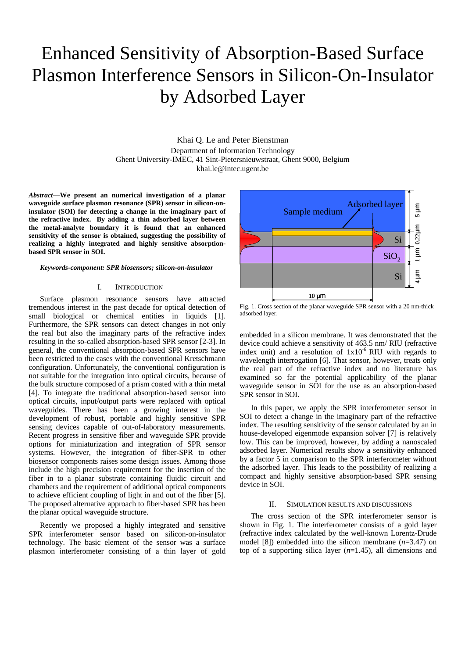# Enhanced Sensitivity of Absorption-Based Surface Plasmon Interference Sensors in Silicon-On-Insulator by Adsorbed Layer

Khai Q. Le and Peter Bienstman

Department of Information Technology Ghent University-IMEC, 41 Sint-Pietersnieuwstraat, Ghent 9000, Belgium khai.le@intec.ugent.be

*Abstract***—We present an numerical investigation of a planar waveguide surface plasmon resonance (SPR) sensor in silicon-oninsulator (SOI) for detecting a change in the imaginary part of the refractive index. By adding a thin adsorbed layer between the metal-analyte boundary it is found that an enhanced sensitivity of the sensor is obtained, suggesting the possibility of realizing a highly integrated and highly sensitive absorptionbased SPR sensor in SOI.**

*Keywords-component: SPR biosensors; silicon-on-insulator* 

### I. INTRODUCTION

Surface plasmon resonance sensors have attracted tremendous interest in the past decade for optical detection of small biological or chemical entities in liquids [1]. Furthermore, the SPR sensors can detect changes in not only the real but also the imaginary parts of the refractive index resulting in the so-called absorption-based SPR sensor [2-3]. In general, the conventional absorption-based SPR sensors have been restricted to the cases with the conventional Kretschmann configuration. Unfortunately, the conventional configuration is not suitable for the integration into optical circuits, because of the bulk structure composed of a prism coated with a thin metal [4]. To integrate the traditional absorption-based sensor into optical circuits, input/output parts were replaced with optical waveguides. There has been a growing interest in the development of robust, portable and highly sensitive SPR sensing devices capable of out-of-laboratory measurements. Recent progress in sensitive fiber and waveguide SPR provide options for miniaturization and integration of SPR sensor systems. However, the integration of fiber-SPR to other biosensor components raises some design issues. Among those include the high precision requirement for the insertion of the fiber in to a planar substrate containing fluidic circuit and chambers and the requirement of additional optical components to achieve efficient coupling of light in and out of the fiber [5]. The proposed alternative approach to fiber-based SPR has been the planar optical waveguide structure.

Recently we proposed a highly integrated and sensitive SPR interferometer sensor based on silicon-on-insulator technology. The basic element of the sensor was a surface plasmon interferometer consisting of a thin layer of gold



Fig. 1. Cross section of the planar waveguide SPR sensor with a 20 nm-thick adsorbed layer.

embedded in a silicon membrane. It was demonstrated that the device could achieve a sensitivity of 463.5 nm/ RIU (refractive index unit) and a resolution of  $1x10^{-6}$  RIU with regards to wavelength interrogation [6]. That sensor, however, treats only the real part of the refractive index and no literature has examined so far the potential applicability of the planar waveguide sensor in SOI for the use as an absorption-based SPR sensor in SOI.

In this paper, we apply the SPR interferometer sensor in SOI to detect a change in the imaginary part of the refractive index. The resulting sensitivity of the sensor calculated by an in house-developed eigenmode expansion solver [7] is relatively low. This can be improved, however, by adding a nanoscaled adsorbed layer. Numerical results show a sensitivity enhanced by a factor 5 in comparison to the SPR interferometer without the adsorbed layer. This leads to the possibility of realizing a compact and highly sensitive absorption-based SPR sensing device in SOI.

## II. SIMULATION RESULTS AND DISCUSSIONS

The cross section of the SPR interferometer sensor is shown in Fig. 1. The interferometer consists of a gold layer (refractive index calculated by the well-known Lorentz-Drude model [8]) embedded into the silicon membrane (*n*=3.47) on top of a supporting silica layer (*n*=1.45), all dimensions and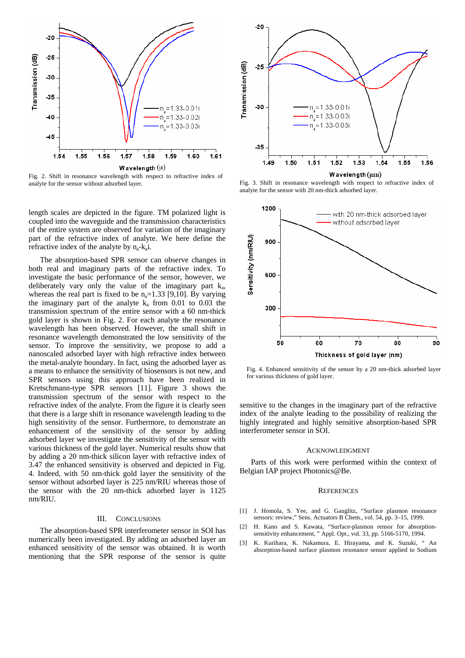

Fig. 2. Shift in resonance wavelength with respect to refractive index of

length scales are depicted in the figure. TM polarized light is coupled into the waveguide and the transmission characteristics of the entire system are observed for variation of the imaginary part of the refractive index of analyte. We here define the refractive index of the analyte by  $n_a - k_a i$ .

The absorption-based SPR sensor can observe changes in both real and imaginary parts of the refractive index. To investigate the basic performance of the sensor, however, we deliberately vary only the value of the imaginary part  $k_a$ , whereas the real part is fixed to be  $n_a=1.33$  [9,10]. By varying the imaginary part of the analyte  $k_a$  from 0.01 to 0.03 the transmission spectrum of the entire sensor with a 60 nm-thick gold layer is shown in Fig. 2. For each analyte the resonance wavelength has been observed. However, the small shift in resonance wavelength demonstrated the low sensitivity of the sensor. To improve the sensitivity, we propose to add a nanoscaled adsorbed layer with high refractive index between the metal-analyte boundary. In fact, using the adsorbed layer as a means to enhance the sensitivity of biosensors is not new, and SPR sensors using this approach have been realized in Kretschmann-type SPR sensors [11]. Figure 3 shows the transmission spectrum of the sensor with respect to the refractive index of the analyte. From the figure it is clearly seen that there is a large shift in resonance wavelength leading to the high sensitivity of the sensor. Furthermore, to demonstrate an enhancement of the sensitivity of the sensor by adding adsorbed layer we investigate the sensitivity of the sensor with various thickness of the gold layer. Numerical results show that by adding a 20 nm-thick silicon layer with refractive index of 3.47 the enhanced sensitivity is observed and depicted in Fig. 4. Indeed, with 50 nm-thick gold layer the sensitivity of the sensor without adsorbed layer is 225 nm/RIU whereas those of the sensor with the 20 nm-thick adsorbed layer is 1125 nm/RIU.

# III. CONCLUSIONS

The absorption-based SPR interferometer sensor in SOI has numerically been investigated. By adding an adsorbed layer an enhanced sensitivity of the sensor was obtained. It is worth mentioning that the SPR response of the sensor is quite



analyte for the sensor without adsorbed layer. Fig. 3. Shift in resonance wavelength with respect to refractive index of analyte for the sensor with 20 nm-thick adsorbed layer.



Fig. 4. Enhanced sensitivity of the sensor by a 20 nm-thick adsorbed layer for various thickness of gold layer.

sensitive to the changes in the imaginary part of the refractive index of the analyte leading to the possibility of realizing the highly integrated and highly sensitive absorption-based SPR interferometer sensor in SOI.

### ACKNOWLEDGMENT

Parts of this work were performed within the context of Belgian IAP project Photonics@Be.

## **REFERENCES**

- [1] J. Homola, S. Yee, and G. Gauglitz, "Surface plasmon resonance sensors: review," Sens. Actuators B Chem., vol. 54, pp. 3-15, 1999.
- [2] H. Kano and S. Kawata, "Surface-plasmon rensor for absorptionsensitivity enhancement, " Appl. Opt., vol. 33, pp. 5166-5170, 1994.
- [3] K. Kurihara, K. Nakamura, E. Hirayama, and K. Suzuki, " An absorption-based surface plasmon resonance sensor applied to Sodium